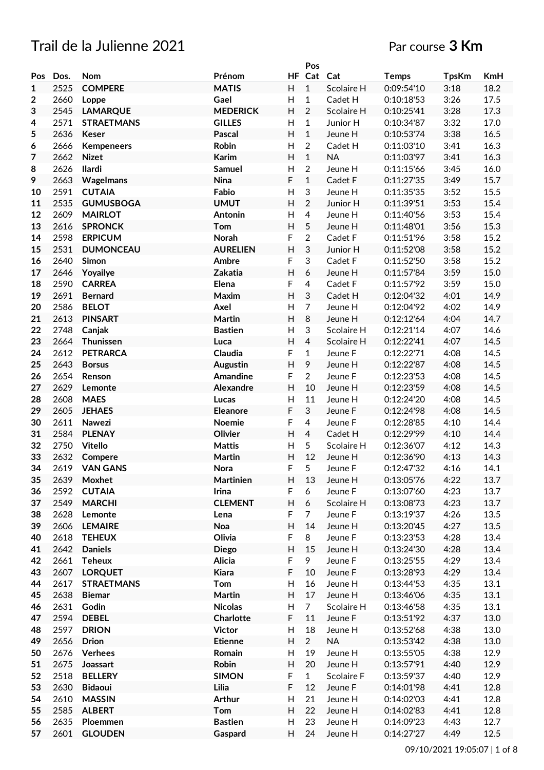# Trail de la Julienne 2021 Par course **3 Km**

|                |      |                   |                 |                           | Pos                       |            |              |              |            |
|----------------|------|-------------------|-----------------|---------------------------|---------------------------|------------|--------------|--------------|------------|
| Pos            | Dos. | <b>Nom</b>        | Prénom          | HF.                       | Cat                       | Cat        | <b>Temps</b> | <b>TpsKm</b> | <b>KmH</b> |
| $\mathbf{1}$   | 2525 | <b>COMPERE</b>    | <b>MATIS</b>    | $\boldsymbol{\mathsf{H}}$ | $\mathbf{1}$              | Scolaire H | 0:09:54'10   | 3:18         | 18.2       |
| 2              | 2660 | Loppe             | Gael            | H                         | $\mathbf{1}$              | Cadet H    | 0:10:18:53   | 3:26         | 17.5       |
| 3              | 2545 | <b>LAMARQUE</b>   | <b>MEDERICK</b> | H                         | $\overline{2}$            | Scolaire H | 0:10:25'41   | 3:28         | 17.3       |
| 4              | 2571 | <b>STRAETMANS</b> | <b>GILLES</b>   | H                         | $\mathbf{1}$              | Junior H   | 0:10:34'87   | 3:32         | 17.0       |
| 5              | 2636 | <b>Keser</b>      | <b>Pascal</b>   | H                         | $\mathbf{1}$              | Jeune H    | 0:10:53'74   | 3:38         | 16.5       |
| 6              | 2666 | <b>Kempeneers</b> | Robin           | H                         | $\overline{2}$            | Cadet H    | 0:11:03'10   | 3:41         | 16.3       |
| $\overline{7}$ | 2662 | <b>Nizet</b>      | <b>Karim</b>    | H                         | $\mathbf{1}$              | <b>NA</b>  | 0:11:03'97   | 3:41         | 16.3       |
|                |      |                   |                 |                           |                           |            |              |              |            |
| 8              | 2626 | Ilardi            | Samuel          | $\mathsf{H}$              | $\overline{2}$            | Jeune H    | 0:11:15'66   | 3:45         | 16.0       |
| 9              | 2663 | Wagelmans         | <b>Nina</b>     | F                         | $\mathbf{1}$              | Cadet F    | 0:11:27'35   | 3:49         | 15.7       |
| 10             | 2591 | <b>CUTAIA</b>     | Fabio           | $\mathsf{H}%$             | $\ensuremath{\mathsf{3}}$ | Jeune H    | 0:11:35'35   | 3:52         | 15.5       |
| 11             | 2535 | <b>GUMUSBOGA</b>  | <b>UMUT</b>     | H                         | $\overline{2}$            | Junior H   | 0:11:39'51   | 3:53         | 15.4       |
| 12             | 2609 | <b>MAIRLOT</b>    | Antonin         | H                         | $\overline{4}$            | Jeune H    | 0:11:40'56   | 3:53         | 15.4       |
| 13             | 2616 | <b>SPRONCK</b>    | Tom             | H                         | 5                         | Jeune H    | 0:11:48'01   | 3:56         | 15.3       |
| 14             | 2598 | <b>ERPICUM</b>    | Norah           | F                         | $\overline{2}$            | Cadet F    | 0:11:51'96   | 3:58         | 15.2       |
| 15             | 2531 | <b>DUMONCEAU</b>  | <b>AURELIEN</b> | $\mathsf{H}$              | $\sqrt{3}$                | Junior H   | 0:11:52'08   | 3:58         | 15.2       |
| 16             | 2640 | <b>Simon</b>      | Ambre           | F                         | 3                         | Cadet F    | 0:11:52'50   | 3:58         | 15.2       |
| 17             | 2646 | Yoyailye          | Zakatia         | $\mathsf{H}$              | $\boldsymbol{6}$          | Jeune H    | 0:11:57'84   | 3:59         | 15.0       |
| 18             | 2590 | <b>CARREA</b>     | Elena           | F                         | $\overline{4}$            | Cadet F    | 0:11:57'92   | 3:59         | 15.0       |
| 19             | 2691 | <b>Bernard</b>    | Maxim           | $\boldsymbol{\mathsf{H}}$ | $\sqrt{3}$                | Cadet H    | 0:12:04'32   | 4:01         | 14.9       |
| 20             | 2586 | <b>BELOT</b>      | Axel            | H                         | $\overline{7}$            | Jeune H    | 0:12:04'92   | 4:02         | 14.9       |
| 21             | 2613 | <b>PINSART</b>    | Martin          | $\mathsf{H}%$             | 8                         | Jeune H    | 0:12:12'64   | 4:04         | 14.7       |
| 22             | 2748 | Canjak            | <b>Bastien</b>  | H                         | $\sqrt{3}$                | Scolaire H | 0:12:21'14   | 4:07         | 14.6       |
|                | 2664 | Thunissen         |                 |                           | $\overline{4}$            |            |              |              |            |
| 23             |      |                   | Luca            | H                         |                           | Scolaire H | 0:12:22'41   | 4:07         | 14.5       |
| 24             | 2612 | <b>PETRARCA</b>   | Claudia         | F                         | $\mathbf{1}$              | Jeune F    | 0:12:22'71   | 4:08         | 14.5       |
| 25             | 2643 | <b>Borsus</b>     | <b>Augustin</b> | H                         | 9                         | Jeune H    | 0:12:22'87   | 4:08         | 14.5       |
| 26             | 2654 | Renson            | <b>Amandine</b> | F                         | $\overline{2}$            | Jeune F    | 0:12:23'53   | 4:08         | 14.5       |
| 27             | 2629 | Lemonte           | Alexandre       | $\overline{H}$            | 10                        | Jeune H    | 0:12:23'59   | 4:08         | 14.5       |
| 28             | 2608 | <b>MAES</b>       | Lucas           | $\mathsf{H}$              | 11                        | Jeune H    | 0:12:24'20   | 4:08         | 14.5       |
| 29             | 2605 | <b>JEHAES</b>     | <b>Eleanore</b> | F                         | 3                         | Jeune F    | 0:12:24'98   | 4:08         | 14.5       |
| 30             | 2611 | <b>Nawezi</b>     | Noemie          | F                         | $\overline{4}$            | Jeune F    | 0:12:28'85   | 4:10         | 14.4       |
| 31             | 2584 | <b>PLENAY</b>     | Olivier         | $\mathsf{H}$              | $\overline{4}$            | Cadet H    | 0:12:29'99   | 4:10         | 14.4       |
| 32             | 2750 | <b>Vitello</b>    | <b>Mattis</b>   | H                         | 5                         | Scolaire H | 0:12:36'07   | 4:12         | 14.3       |
| 33             | 2632 | Compere           | <b>Martin</b>   | $\overline{H}$            | 12                        | Jeune H    | 0:12:36'90   | 4:13         | 14.3       |
| 34             | 2619 | <b>VAN GANS</b>   | Nora            | F                         | 5                         | Jeune F    | 0:12:47'32   | 4:16         | 14.1       |
| 35             | 2639 | Moxhet            | Martinien       | H                         | 13                        | Jeune H    | 0:13:05'76   | 4:22         | 13.7       |
| 36             | 2592 | <b>CUTAIA</b>     | Irina           | F                         | 6                         | Jeune F    | 0:13:07'60   | 4:23         | 13.7       |
| 37             | 2549 | <b>MARCHI</b>     | <b>CLEMENT</b>  | H                         | 6                         | Scolaire H | 0:13:08'73   | 4:23         | 13.7       |
| 38             | 2628 | Lemonte           | Lena            | F                         | $\overline{7}$            | Jeune F    | 0:13:19'37   | 4:26         | 13.5       |
| 39             | 2606 | <b>LEMAIRE</b>    | Noa             | H                         | 14                        | Jeune H    | 0:13:20'45   | 4:27         | 13.5       |
| 40             | 2618 | <b>TEHEUX</b>     | Olivia          | F                         | 8                         | Jeune F    | 0:13:23'53   | 4:28         | 13.4       |
|                | 2642 |                   |                 | $\mathsf{H}$              | 15                        |            |              | 4:28         | 13.4       |
| 41             |      | <b>Daniels</b>    | <b>Diego</b>    |                           |                           | Jeune H    | 0:13:24'30   |              |            |
| 42             | 2661 | <b>Teheux</b>     | Alicia          | F                         | 9                         | Jeune F    | 0:13:25'55   | 4:29         | 13.4       |
| 43             | 2607 | <b>LORQUET</b>    | <b>Kiara</b>    | F                         | 10                        | Jeune F    | 0:13:28'93   | 4:29         | 13.4       |
| 44             | 2617 | <b>STRAETMANS</b> | Tom             | $\mathsf{H}%$             | 16                        | Jeune H    | 0:13:44'53   | 4:35         | 13.1       |
| 45             | 2638 | <b>Biemar</b>     | <b>Martin</b>   | H                         | 17                        | Jeune H    | 0:13:46'06   | 4:35         | 13.1       |
| 46             | 2631 | Godin             | <b>Nicolas</b>  | H                         | $\overline{7}$            | Scolaire H | 0:13:46'58   | 4:35         | 13.1       |
| 47             | 2594 | <b>DEBEL</b>      | Charlotte       | $\mathsf F$               | 11                        | Jeune F    | 0:13:51'92   | 4:37         | 13.0       |
| 48             | 2597 | <b>DRION</b>      | <b>Victor</b>   | Н                         | 18                        | Jeune H    | 0:13:52'68   | 4:38         | 13.0       |
| 49             | 2656 | <b>Drion</b>      | <b>Etienne</b>  | $\boldsymbol{\mathsf{H}}$ | $\overline{2}$            | <b>NA</b>  | 0:13:53'42   | 4:38         | 13.0       |
| 50             | 2676 | <b>Verhees</b>    | Romain          | $\mathsf{H}%$             | 19                        | Jeune H    | 0:13:55'05   | 4:38         | 12.9       |
| 51             | 2675 | Joassart          | Robin           | $\boldsymbol{\mathsf{H}}$ | 20                        | Jeune H    | 0:13:57'91   | 4:40         | 12.9       |
| 52             | 2518 | <b>BELLERY</b>    | <b>SIMON</b>    | F                         | $\mathbf{1}$              | Scolaire F | 0:13:59'37   | 4:40         | 12.9       |
| 53             | 2630 | <b>Bidaoui</b>    | Lilia           | F                         | 12                        | Jeune F    | 0:14:01'98   | 4:41         | 12.8       |
| 54             | 2610 | <b>MASSIN</b>     | <b>Arthur</b>   | $\boldsymbol{\mathsf{H}}$ | 21                        | Jeune H    | 0:14:02'03   | 4:41         | 12.8       |
| 55             | 2585 | <b>ALBERT</b>     | Tom             | H                         | 22                        | Jeune H    | 0:14:02'83   | 4:41         | 12.8       |
| 56             | 2635 | Ploemmen          | <b>Bastien</b>  | H                         | 23                        | Jeune H    | 0:14:09'23   | 4:43         | 12.7       |
| 57             | 2601 |                   |                 | H                         | 24                        |            |              | 4:49         | 12.5       |
|                |      | <b>GLOUDEN</b>    | Gaspard         |                           |                           | Jeune H    | 0:14:27'27   |              |            |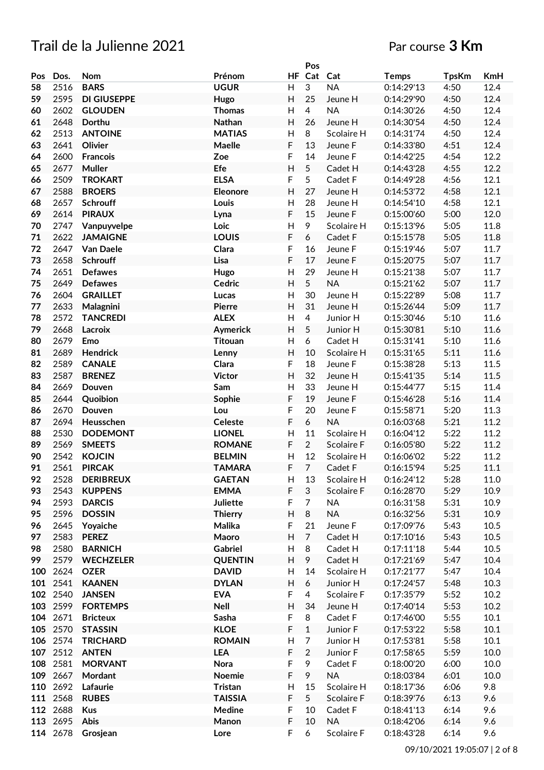|     |          |                    |                 |                         | Pos            |                      |              |              |          |
|-----|----------|--------------------|-----------------|-------------------------|----------------|----------------------|--------------|--------------|----------|
| Pos | Dos.     | Nom                | Prénom          | HF                      | Cat            | Cat                  | <b>Temps</b> | <b>TpsKm</b> | KmH      |
| 58  | 2516     | <b>BARS</b>        | <b>UGUR</b>     | H                       | 3              | <b>NA</b>            | 0:14:29'13   | 4:50         | 12.4     |
| 59  | 2595     | <b>DI GIUSEPPE</b> | Hugo            | H                       | 25             | Jeune H              | 0:14:29'90   | 4:50         | 12.4     |
| 60  | 2602     | <b>GLOUDEN</b>     | <b>Thomas</b>   | H                       | $\overline{4}$ | <b>NA</b>            | 0:14:30'26   | 4:50         | 12.4     |
| 61  | 2648     | Dorthu             | Nathan          | H                       | 26             | Jeune H              | 0:14:30'54   | 4:50         | 12.4     |
| 62  | 2513     | <b>ANTOINE</b>     | <b>MATIAS</b>   | Н                       | 8              | Scolaire H           | 0:14:31'74   | 4:50         | 12.4     |
| 63  | 2641     | Olivier            | Maelle          | F                       | 13             | Jeune F              | 0:14:33'80   | 4:51         | 12.4     |
| 64  | 2600     | <b>Francois</b>    | Zoe             | F                       | 14             | Jeune F              | 0:14:42'25   | 4:54         | 12.2     |
| 65  | 2677     | <b>Muller</b>      | Efe             | H                       | 5              | Cadet H              | 0:14:43'28   | 4:55         | 12.2     |
| 66  | 2509     | <b>TROKART</b>     | <b>ELSA</b>     | F                       | 5              | Cadet F              | 0:14:49'28   | 4:56         | 12.1     |
| 67  | 2588     | <b>BROERS</b>      | Eleonore        | H                       | 27             | Jeune H              | 0:14:53'72   | 4:58         | 12.1     |
| 68  | 2657     | Schrouff           | Louis           | $\mathsf{H}$            | 28             | Jeune H              | 0:14:54'10   | 4:58         | 12.1     |
| 69  | 2614     | <b>PIRAUX</b>      | Lyna            | F                       | 15             | Jeune F              | 0:15:00'60   | 5:00         | 12.0     |
| 70  | 2747     | Vanpuyvelpe        | Loic            | $\overline{\mathsf{H}}$ | 9              | Scolaire H           | 0:15:13'96   | 5:05         | 11.8     |
| 71  | 2622     | <b>JAMAIGNE</b>    | <b>LOUIS</b>    | F                       | 6              | Cadet F              | 0:15:15'78   | 5:05         | 11.8     |
| 72  | 2647     | Van Daele          | Clara           | F                       | 16             | Jeune F              | 0:15:19'46   | 5:07         | 11.7     |
| 73  | 2658     | <b>Schrouff</b>    | Lisa            | F                       | 17             | Jeune F              | 0:15:20'75   | 5:07         | 11.7     |
| 74  | 2651     | <b>Defawes</b>     | Hugo            | $\mathsf{H}$            | 29             |                      | 0:15:21'38   | 5:07         | 11.7     |
| 75  | 2649     | <b>Defawes</b>     |                 | H                       | 5 <sup>5</sup> | Jeune H<br><b>NA</b> |              | 5:07         | 11.7     |
|     |          |                    | Cedric          |                         |                |                      | 0:15:21'62   |              |          |
| 76  | 2604     | <b>GRAILLET</b>    | Lucas           | H                       | 30             | Jeune H              | 0:15:22'89   | 5:08         | 11.7     |
| 77  | 2633     | Malagnini          | Pierre          | H                       | 31             | Jeune H              | 0:15:26'44   | 5:09         | 11.7     |
| 78  | 2572     | <b>TANCREDI</b>    | <b>ALEX</b>     | $\mathsf{H}$            | $\overline{4}$ | Junior H             | 0:15:30'46   | 5:10         | 11.6     |
| 79  | 2668     | Lacroix            | Aymerick        | H                       | 5              | Junior H             | 0:15:30'81   | 5:10         | 11.6     |
| 80  | 2679     | Emo                | <b>Titouan</b>  | H                       | 6              | Cadet H              | 0:15:31'41   | 5:10         | 11.6     |
| 81  | 2689     | <b>Hendrick</b>    | Lenny           | H                       | 10             | Scolaire H           | 0:15:31'65   | 5:11         | 11.6     |
| 82  | 2589     | <b>CANALE</b>      | Clara           | F                       | 18             | Jeune F              | 0:15:38'28   | 5:13         | 11.5     |
| 83  | 2587     | <b>BRENEZ</b>      | <b>Victor</b>   | H                       | 32             | Jeune H              | 0:15:41'35   | 5:14         | 11.5     |
| 84  | 2669     | Douven             | Sam             | Н                       | 33             | Jeune H              | 0:15:44'77   | 5:15         | 11.4     |
| 85  | 2644     | Quoibion           | Sophie          | F                       | 19             | Jeune F              | 0:15:46'28   | 5:16         | 11.4     |
| 86  | 2670     | Douven             | Lou             | F                       | 20             | Jeune F              | 0:15:58'71   | 5:20         | 11.3     |
| 87  | 2694     | Heusschen          | <b>Celeste</b>  | F                       | 6              | <b>NA</b>            | 0:16:03'68   | 5:21         | 11.2     |
| 88  | 2530     | <b>DODEMONT</b>    | <b>LIONEL</b>   | $\mathsf{H}$            | 11             | Scolaire H           | 0:16:04'12   | 5:22         | 11.2     |
| 89  | 2569     | <b>SMEETS</b>      | <b>ROMANE</b>   | F                       | $\overline{2}$ | Scolaire F           | 0:16:05'80   | 5:22         | 11.2     |
| 90  | 2542     | <b>KOJCIN</b>      | <b>BELMIN</b>   | H                       | 12             | Scolaire H           | 0:16:06'02   | 5:22         | 11.2     |
| 91  | 2561     | <b>PIRCAK</b>      | <b>TAMARA</b>   | F                       | $\overline{7}$ | Cadet F              | 0:16:15'94   | 5:25         | 11.1     |
| 92  | 2528     | <b>DERIBREUX</b>   | <b>GAETAN</b>   | H                       | 13             | Scolaire H           | 0:16:24'12   | 5:28         | 11.0     |
| 93  | 2543     | <b>KUPPENS</b>     | <b>EMMA</b>     | F                       | 3              | Scolaire F           | 0:16:28'70   | 5:29         | 10.9     |
| 94  | 2593     | <b>DARCIS</b>      | <b>Juliette</b> | F                       | $\overline{7}$ | <b>NA</b>            | 0:16:31'58   | 5:31         | 10.9     |
| 95  | 2596     | <b>DOSSIN</b>      | <b>Thierry</b>  | H                       | 8              | <b>NA</b>            | 0:16:32'56   | 5:31         | 10.9     |
| 96  | 2645     | Yoyaiche           | Malika          | F                       | 21             | Jeune F              | 0:17:09'76   | 5:43         | 10.5     |
| 97  | 2583     | <b>PEREZ</b>       | Maoro           | H                       | $\overline{7}$ | Cadet H              | 0:17:10'16   | 5:43         | 10.5     |
| 98  | 2580     | <b>BARNICH</b>     | Gabriel         | Н                       | 8              | Cadet H              | 0:17:11'18   | 5:44         | $10.5\,$ |
| 99  | 2579     | <b>WECHZELER</b>   | <b>QUENTIN</b>  | Н                       | 9              | Cadet H              | 0:17:21'69   | 5:47         | 10.4     |
| 100 | 2624     | <b>OZER</b>        | <b>DAVID</b>    | Н                       | 14             | Scolaire H           | 0:17:21'77   | 5:47         | 10.4     |
|     | 101 2541 | <b>KAANEN</b>      | <b>DYLAN</b>    | H                       | 6              | Junior H             | 0:17:24'57   | 5:48         | 10.3     |
|     | 102 2540 | <b>JANSEN</b>      | <b>EVA</b>      | F                       | 4              | Scolaire F           | 0:17:35'79   | 5:52         | 10.2     |
|     | 103 2599 | <b>FORTEMPS</b>    | <b>Nell</b>     | H                       | 34             | Jeune H              | 0:17:40'14   | 5:53         | 10.2     |
|     | 104 2671 | <b>Bricteux</b>    | Sasha           | F                       | 8              | Cadet F              | 0:17:46'00   | 5:55         | 10.1     |
|     | 105 2570 | <b>STASSIN</b>     | <b>KLOE</b>     | F                       | $\mathbf{1}$   | Junior F             | 0:17:53'22   | 5:58         | 10.1     |
|     | 106 2574 | <b>TRICHARD</b>    | <b>ROMAIN</b>   | Н                       | $\overline{7}$ | Junior H             | 0:17:53'81   | 5:58         | 10.1     |
|     | 107 2512 | <b>ANTEN</b>       | LEA             | F                       | $\overline{2}$ | Junior F             | 0:17:58'65   | 5:59         | 10.0     |
| 108 | 2581     | <b>MORVANT</b>     | <b>Nora</b>     | F                       | 9              | Cadet F              | 0:18:00'20   | 6:00         | 10.0     |
|     | 109 2667 | Mordant            | Noemie          | F                       | 9              | <b>NA</b>            | 0:18:03'84   | 6:01         | 10.0     |
|     | 110 2692 | Lafaurie           | <b>Tristan</b>  | Н                       | 15             | Scolaire H           | 0:18:17'36   | 6:06         | 9.8      |
|     | 111 2568 |                    |                 | F                       | 5 <sup>5</sup> |                      |              |              |          |
|     |          | <b>RUBES</b>       | <b>TAISSIA</b>  |                         |                | Scolaire F           | 0:18:39'76   | 6:13         | 9.6      |
|     | 112 2688 | <b>Kus</b>         | Medine          | F                       | 10             | Cadet F              | 0:18:41'13   | 6:14         | 9.6      |
|     | 113 2695 | <b>Abis</b>        | Manon           | F                       | 10             | <b>NA</b>            | 0:18:42'06   | 6:14         | 9.6      |
|     | 114 2678 | Grosjean           | Lore            | F                       | 6              | Scolaire F           | 0:18:43'28   | 6:14         | 9.6      |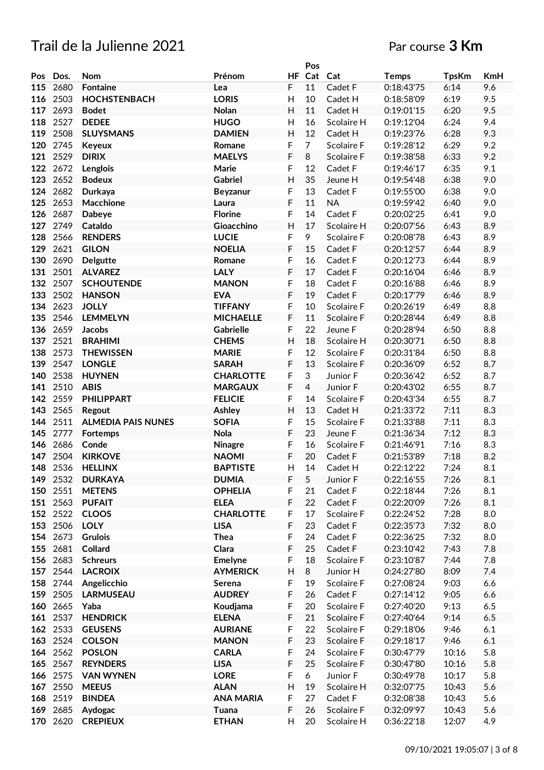|     |          |                           |                  |                           | Pos            |            |              |              |     |
|-----|----------|---------------------------|------------------|---------------------------|----------------|------------|--------------|--------------|-----|
| Pos | Dos.     | <b>Nom</b>                | Prénom           |                           | HF Cat         | Cat        | <b>Temps</b> | <b>TpsKm</b> | KmH |
| 115 | 2680     | <b>Fontaine</b>           | Lea              | $\mathsf F$               | 11             | Cadet F    | 0:18:43'75   | 6:14         | 9.6 |
| 116 | 2503     | <b>HOCHSTENBACH</b>       | <b>LORIS</b>     | H                         | 10             | Cadet H    | 0:18:58'09   | 6:19         | 9.5 |
| 117 | 2693     | <b>Bodet</b>              | <b>Nolan</b>     | H                         | 11             | Cadet H    | 0:19:01'15   | 6:20         | 9.5 |
| 118 | 2527     | <b>DEDEE</b>              | <b>HUGO</b>      | H                         | 16             | Scolaire H | 0:19:12'04   | 6:24         | 9.4 |
| 119 | 2508     | <b>SLUYSMANS</b>          | <b>DAMIEN</b>    | H                         | 12             | Cadet H    | 0:19:23'76   | 6:28         | 9.3 |
| 120 | 2745     | <b>Keyeux</b>             | Romane           | F                         | $\overline{7}$ | Scolaire F | 0:19:28'12   | 6:29         | 9.2 |
| 121 | 2529     | <b>DIRIX</b>              | <b>MAELYS</b>    | F                         | 8              | Scolaire F | 0:19:38'58   | 6:33         | 9.2 |
| 122 | 2672     | Lenglois                  | Marie            | F                         | 12             | Cadet F    | 0:19:46'17   | 6:35         | 9.1 |
| 123 | 2652     |                           | Gabriel          | H                         | 35             |            | 0:19:54'48   | 6:38         | 9.0 |
|     |          | <b>Bodeux</b>             |                  |                           |                | Jeune H    |              |              |     |
| 124 | 2682     | Durkaya                   | Beyzanur         | F<br>F                    | 13             | Cadet F    | 0:19:55'00   | 6:38         | 9.0 |
| 125 | 2653     | Macchione                 | Laura            |                           | 11             | <b>NA</b>  | 0:19:59'42   | 6:40         | 9.0 |
| 126 | 2687     | <b>Dabeye</b>             | <b>Florine</b>   | F                         | 14             | Cadet F    | 0:20:02'25   | 6:41         | 9.0 |
| 127 | 2749     | Cataldo                   | Gioacchino       | $\mathsf{H}$              | 17             | Scolaire H | 0:20:07'56   | 6:43         | 8.9 |
| 128 | 2566     | <b>RENDERS</b>            | <b>LUCIE</b>     | F                         | 9              | Scolaire F | 0:20:08'78   | 6:43         | 8.9 |
| 129 | 2621     | <b>GILON</b>              | <b>NOELIA</b>    | F                         | 15             | Cadet F    | 0:20:12'57   | 6:44         | 8.9 |
| 130 | 2690     | <b>Delgutte</b>           | Romane           | F                         | 16             | Cadet F    | 0:20:12'73   | 6:44         | 8.9 |
| 131 | 2501     | <b>ALVAREZ</b>            | <b>LALY</b>      | F                         | 17             | Cadet F    | 0:20:16'04   | 6:46         | 8.9 |
| 132 | 2507     | <b>SCHOUTENDE</b>         | <b>MANON</b>     | F                         | 18             | Cadet F    | 0:20:16'88   | 6:46         | 8.9 |
| 133 | 2502     | <b>HANSON</b>             | <b>EVA</b>       | F                         | 19             | Cadet F    | 0:20:17'79   | 6:46         | 8.9 |
| 134 | 2623     | <b>JOLLY</b>              | <b>TIFFANY</b>   | F                         | 10             | Scolaire F | 0:20:26'19   | 6:49         | 8.8 |
| 135 | 2546     | <b>LEMMELYN</b>           | <b>MICHAELLE</b> | F                         | 11             | Scolaire F | 0:20:28'44   | 6:49         | 8.8 |
| 136 | 2659     | Jacobs                    | <b>Gabrielle</b> | F                         | 22             | Jeune F    | 0:20:28'94   | 6:50         | 8.8 |
| 137 | 2521     | <b>BRAHIMI</b>            | <b>CHEMS</b>     | H                         | 18             | Scolaire H | 0:20:30'71   | 6:50         | 8.8 |
| 138 | 2573     | <b>THEWISSEN</b>          | <b>MARIE</b>     | F                         | 12             | Scolaire F | 0:20:31'84   | 6:50         | 8.8 |
| 139 | 2547     | <b>LONGLE</b>             | <b>SARAH</b>     | F                         | 13             | Scolaire F | 0:20:36'09   | 6:52         | 8.7 |
| 140 | 2538     | <b>HUYNEN</b>             | <b>CHARLOTTE</b> | F                         | 3              | Junior F   | 0:20:36'42   | 6:52         | 8.7 |
| 141 | 2510     | <b>ABIS</b>               | <b>MARGAUX</b>   | F                         | $\overline{4}$ | Junior F   | 0:20:43'02   | 6:55         | 8.7 |
| 142 | 2559     | <b>PHILIPPART</b>         | <b>FELICIE</b>   | $\mathsf F$               | 14             | Scolaire F | 0:20:43'34   | 6:55         | 8.7 |
| 143 | 2565     | Regout                    | Ashley           | H                         | 13             | Cadet H    | 0:21:33'72   | 7:11         | 8.3 |
| 144 | 2511     | <b>ALMEDIA PAIS NUNES</b> | <b>SOFIA</b>     | F                         | 15             | Scolaire F | 0:21:33'88   | 7:11         | 8.3 |
| 145 | 2777     | Fortemps                  | <b>Nola</b>      | F                         | 23             | Jeune F    | 0:21:36'34   | 7:12         | 8.3 |
| 146 | 2686     | Conde                     | Ninagre          | F                         | 16             | Scolaire F | 0:21:46'91   | 7:16         | 8.3 |
| 147 | 2504     | <b>KIRKOVE</b>            | <b>NAOMI</b>     | F                         | 20             | Cadet F    | 0:21:53'89   | 7:18         | 8.2 |
| 148 | 2536     | <b>HELLINX</b>            | <b>BAPTISTE</b>  | H                         | 14             | Cadet H    | 0:22:12'22   | 7:24         | 8.1 |
|     | 149 2532 | <b>DURKAYA</b>            | <b>DUMIA</b>     | F                         | 5              | Junior F   | 0:22:16'55   | 7:26         | 8.1 |
|     | 150 2551 | <b>METENS</b>             | <b>OPHELIA</b>   | $\mathsf F$               | 21             | Cadet F    | 0:22:18'44   | 7:26         | 8.1 |
|     | 151 2563 | <b>PUFAIT</b>             | <b>ELEA</b>      | F                         | 22             | Cadet F    | 0:22:20'09   | 7:26         | 8.1 |
|     | 152 2522 | <b>CLOOS</b>              | <b>CHARLOTTE</b> | $\mathsf F$               | 17             | Scolaire F | 0:22:24'52   | 7:28         | 8.0 |
|     | 153 2506 | <b>LOLY</b>               | <b>LISA</b>      | F                         | 23             | Cadet F    | 0:22:35'73   | 7:32         | 8.0 |
|     | 154 2673 | <b>Grulois</b>            | <b>Thea</b>      | F                         | 24             | Cadet F    | 0:22:36'25   | 7:32         | 8.0 |
|     | 155 2681 | Collard                   | Clara            | F                         | 25             | Cadet F    | 0:23:10'42   | 7:43         | 7.8 |
|     | 156 2683 | <b>Schreurs</b>           | <b>Emelyne</b>   | F                         | 18             | Scolaire F | 0:23:10'87   | 7:44         | 7.8 |
|     | 157 2544 | <b>LACROIX</b>            | <b>AYMERICK</b>  | $\mathsf{H}%$             | 8              | Junior H   | 0:24:27'80   | 8:09         | 7.4 |
|     | 158 2744 |                           |                  | F                         | 19             | Scolaire F |              | 9:03         |     |
|     |          | Angelicchio               | Serena           | F                         |                |            | 0:27:08'24   |              | 6.6 |
| 159 | 2505     | <b>LARMUSEAU</b>          | <b>AUDREY</b>    |                           | 26             | Cadet F    | 0:27:14'12   | 9:05         | 6.6 |
|     | 160 2665 | Yaba                      | Koudjama         | F                         | 20             | Scolaire F | 0:27:40'20   | 9:13         | 6.5 |
|     | 161 2537 | <b>HENDRICK</b>           | <b>ELENA</b>     | F                         | 21             | Scolaire F | 0:27:40'64   | 9:14         | 6.5 |
|     | 162 2533 | <b>GEUSENS</b>            | <b>AURIANE</b>   | $\mathsf F$               | 22             | Scolaire F | 0:29:18'06   | 9:46         | 6.1 |
|     | 163 2524 | <b>COLSON</b>             | <b>MANON</b>     | $\mathsf F$               | 23             | Scolaire F | 0:29:18'17   | 9:46         | 6.1 |
|     | 164 2562 | <b>POSLON</b>             | <b>CARLA</b>     | F                         | 24             | Scolaire F | 0:30:47'79   | 10:16        | 5.8 |
|     | 165 2567 | <b>REYNDERS</b>           | <b>LISA</b>      | F                         | 25             | Scolaire F | 0:30:47'80   | 10:16        | 5.8 |
|     | 166 2575 | <b>VAN WYNEN</b>          | <b>LORE</b>      | $\mathsf F$               | 6              | Junior F   | 0:30:49'78   | 10:17        | 5.8 |
|     | 167 2550 | <b>MEEUS</b>              | <b>ALAN</b>      | $\boldsymbol{\mathsf{H}}$ | 19             | Scolaire H | 0:32:07'75   | 10:43        | 5.6 |
|     | 168 2519 | <b>BINDEA</b>             | <b>ANA MARIA</b> | $\mathsf F$               | 27             | Cadet F    | 0:32:08'38   | 10:43        | 5.6 |
|     | 169 2685 | Aydogac                   | Tuana            | $\mathsf F$               | 26             | Scolaire F | 0:32:09'97   | 10:43        | 5.6 |
|     | 170 2620 | <b>CREPIEUX</b>           | <b>ETHAN</b>     | H                         | 20             | Scolaire H | 0:36:22'18   | 12:07        | 4.9 |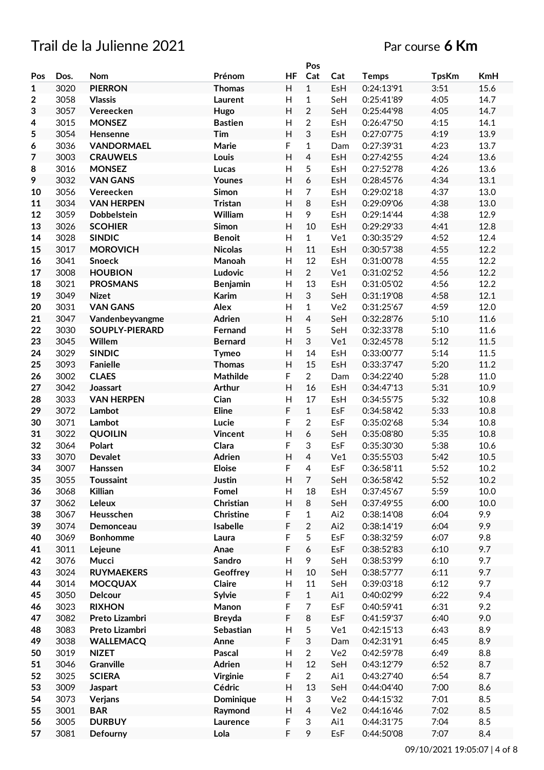## Trail de la Julienne 2021 and the state of the Par course 6 Km

|                  |      |                       |                 |                           | Pos                       |     |              |              |            |
|------------------|------|-----------------------|-----------------|---------------------------|---------------------------|-----|--------------|--------------|------------|
| Pos              | Dos. | Nom                   | Prénom          | <b>HF</b>                 | Cat                       | Cat | <b>Temps</b> | <b>TpsKm</b> | <b>KmH</b> |
| $\mathbf{1}$     | 3020 | <b>PIERRON</b>        | <b>Thomas</b>   | H                         | $\mathbf{1}$              | EsH | 0:24:13'91   | 3:51         | 15.6       |
| $\boldsymbol{2}$ | 3058 | <b>Vlassis</b>        | Laurent         | Н                         | $\mathbf{1}$              | SeH | 0:25:41'89   | 4:05         | 14.7       |
| 3                | 3057 | Vereecken             | Hugo            | H                         | $\overline{2}$            | SeH | 0:25:44'98   | 4:05         | 14.7       |
| 4                | 3015 | <b>MONSEZ</b>         | <b>Bastien</b>  | H                         | $\overline{2}$            | EsH | 0:26:47'50   | 4:15         | 14.1       |
| 5                | 3054 | Hensenne              | Tim             | H                         | $\sqrt{3}$                | EsH | 0:27:07'75   | 4:19         | 13.9       |
| 6                | 3036 | <b>VANDORMAEL</b>     | Marie           | F                         | $\mathbf 1$               | Dam | 0:27:39'31   | 4:23         | 13.7       |
| $\overline{7}$   | 3003 | <b>CRAUWELS</b>       | Louis           | Н                         | 4                         | EsH | 0:27:42'55   | 4:24         | 13.6       |
| 8                | 3016 | <b>MONSEZ</b>         | Lucas           | H                         | 5                         | EsH | 0:27:52'78   | 4:26         | 13.6       |
| 9                | 3032 | <b>VAN GANS</b>       | Younes          | H                         | 6                         | EsH | 0:28:45'76   | 4:34         | 13.1       |
|                  |      |                       |                 |                           | $\overline{7}$            |     |              |              |            |
| 10               | 3056 | Vereecken             | Simon           | $\boldsymbol{\mathsf{H}}$ |                           | EsH | 0:29:02'18   | 4:37         | 13.0       |
| 11               | 3034 | <b>VAN HERPEN</b>     | <b>Tristan</b>  | $\overline{H}$            | 8                         | EsH | 0:29:09'06   | 4:38         | 13.0       |
| 12               | 3059 | Dobbelstein           | William         | H                         | 9                         | EsH | 0:29:14'44   | 4:38         | 12.9       |
| 13               | 3026 | <b>SCOHIER</b>        | Simon           | H                         | 10                        | EsH | 0:29:29'33   | 4:41         | 12.8       |
| 14               | 3028 | <b>SINDIC</b>         | <b>Benoit</b>   | Н                         | $\mathbf{1}$              | Ve1 | 0:30:35'29   | 4:52         | 12.4       |
| 15               | 3017 | <b>MOROVICH</b>       | <b>Nicolas</b>  | H                         | 11                        | EsH | 0:30:57'38   | 4:55         | 12.2       |
| 16               | 3041 | <b>Snoeck</b>         | Manoah          | $\overline{H}$            | 12                        | EsH | 0:31:00'78   | 4:55         | 12.2       |
| 17               | 3008 | <b>HOUBION</b>        | Ludovic         | Н                         | $\overline{2}$            | Ve1 | 0:31:02'52   | 4:56         | 12.2       |
| 18               | 3021 | <b>PROSMANS</b>       | <b>Benjamin</b> | H                         | 13                        | EsH | 0:31:05'02   | 4:56         | 12.2       |
| 19               | 3049 | <b>Nizet</b>          | Karim           | $\overline{\mathsf{H}}$   | 3                         | SeH | 0:31:19'08   | 4:58         | 12.1       |
| 20               | 3031 | <b>VAN GANS</b>       | Alex            | $\overline{H}$            | $\mathbf{1}$              | Ve2 | 0:31:25'67   | 4:59         | 12.0       |
| 21               | 3047 | Vandenbeyvangme       | Adrien          | $\overline{H}$            | $\overline{4}$            | SeH | 0:32:28'76   | 5:10         | 11.6       |
| 22               | 3030 | <b>SOUPLY-PIERARD</b> | Fernand         | H                         | 5                         | SeH | 0:32:33'78   | 5:10         | 11.6       |
| 23               | 3045 | Willem                | <b>Bernard</b>  | H                         | 3                         | Ve1 | 0:32:45'78   | 5:12         | 11.5       |
| 24               | 3029 | <b>SINDIC</b>         | <b>Tymeo</b>    | H                         | 14                        | EsH | 0:33:00'77   | 5:14         | 11.5       |
| 25               | 3093 | <b>Fanielle</b>       | <b>Thomas</b>   | H                         | 15                        | EsH | 0:33:37'47   | 5:20         | 11.2       |
| 26               | 3002 | <b>CLAES</b>          | Mathilde        | F                         | $\overline{2}$            | Dam | 0:34:22'40   | 5:28         | 11.0       |
| 27               | 3042 | Joassart              | <b>Arthur</b>   | H                         | 16                        | EsH | 0:34:47'13   | 5:31         | 10.9       |
| 28               | 3033 | <b>VAN HERPEN</b>     | Cian            | $\overline{H}$            | 17                        | EsH | 0:34:55'75   | 5:32         | 10.8       |
|                  |      |                       |                 | F                         | $\mathbf{1}$              |     |              |              |            |
| 29               | 3072 | Lambot                | <b>Eline</b>    |                           |                           | EsF | 0:34:58'42   | 5:33         | 10.8       |
| 30               | 3071 | Lambot                | Lucie           | F                         | $\overline{2}$            | EsF | 0:35:02'68   | 5:34         | 10.8       |
| 31               | 3022 | <b>QUOILIN</b>        | Vincent         | $\overline{H}$            | 6                         | SeH | 0:35:08'80   | 5:35         | 10.8       |
| 32               | 3064 | Polart                | Clara           | F                         | $\sqrt{3}$                | EsF | 0:35:30'30   | 5:38         | 10.6       |
| 33               | 3070 | <b>Devalet</b>        | <b>Adrien</b>   | $\overline{\mathsf{H}}$   | $\overline{4}$            | Ve1 | 0:35:55'03   | 5:42         | 10.5       |
| 34               | 3007 | <b>Hanssen</b>        | <b>Eloise</b>   | F                         | 4                         | EsF | 0:36:58'11   | 5:52         | 10.2       |
| 35               | 3055 | <b>Toussaint</b>      | Justin          | H                         | $\overline{7}$            | SeH | 0:36:58'42   | 5:52         | 10.2       |
| 36               | 3068 | <b>Killian</b>        | Fomel           | Н                         | 18                        | EsH | 0:37:45'67   | 5:59         | 10.0       |
| 37               | 3062 | Leleux                | Christian       | H                         | 8                         | SeH | 0:37:49'55   | 6:00         | 10.0       |
| 38               | 3067 | Heusschen             | Christine       | F                         | $\mathbf{1}$              | Ai2 | 0:38:14'08   | 6:04         | 9.9        |
| 39               | 3074 | Demonceau             | Isabelle        | F                         | $\overline{2}$            | Ai2 | 0:38:14'19   | 6:04         | 9.9        |
| 40               | 3069 | <b>Bonhomme</b>       | Laura           | F                         | $\sqrt{5}$                | EsF | 0:38:32'59   | 6:07         | 9.8        |
| 41               | 3011 | Lejeune               | Anae            | F                         | $\boldsymbol{6}$          | EsF | 0:38:52'83   | 6:10         | 9.7        |
| 42               | 3076 | Mucci                 | Sandro          | Н                         | 9                         | SeH | 0:38:53'99   | 6:10         | 9.7        |
| 43               | 3024 | <b>RUYMAEKERS</b>     | Geoffrey        | H                         | 10                        | SeH | 0:38:57'77   | 6:11         | 9.7        |
| 44               | 3014 | <b>MOCQUAX</b>        | Claire          | Н                         | 11                        | SeH | 0:39:03'18   | 6:12         | 9.7        |
| 45               | 3050 | Delcour               | <b>Sylvie</b>   | F                         | $\mathbf{1}$              | Ai1 | 0:40:02'99   | 6:22         | 9.4        |
| 46               | 3023 | <b>RIXHON</b>         | Manon           | F                         | $\overline{7}$            | EsF | 0:40:59'41   | 6:31         | 9.2        |
| 47               | 3082 | Preto Lizambri        | <b>Breyda</b>   | F                         | $\, 8$                    | EsF | 0:41:59'37   | 6:40         | 9.0        |
| 48               | 3083 | Preto Lizambri        | Sebastian       | $\mathsf H$               | $\mathfrak s$             | Ve1 | 0:42:15'13   | 6:43         | 8.9        |
| 49               | 3038 | <b>WALLEMACQ</b>      | Anne            | F                         | $\ensuremath{\mathsf{3}}$ | Dam | 0:42:31'91   | 6:45         | 8.9        |
| 50               | 3019 | <b>NIZET</b>          | Pascal          | $\mathsf{H}$              | $\overline{2}$            | Ve2 | 0:42:59'78   | 6:49         | 8.8        |
|                  | 3046 | Granville             | Adrien          | Н                         | 12                        | SeH | 0:43:12'79   | 6:52         | 8.7        |
| 51               |      |                       |                 |                           |                           |     |              |              |            |
| 52               | 3025 | <b>SCIERA</b>         | Virginie        | F                         | $\overline{2}$            | Ai1 | 0:43:27'40   | 6:54         | 8.7        |
| 53               | 3009 | Jaspart               | Cédric          | H                         | 13                        | SeH | 0:44:04'40   | 7:00         | 8.6        |
| 54               | 3073 | Verjans               | Dominique       | H                         | 3                         | Ve2 | 0:44:15'32   | 7:01         | 8.5        |
| 55               | 3001 | <b>BAR</b>            | Raymond         | Н                         | $\overline{4}$            | Ve2 | 0:44:16'46   | 7:02         | 8.5        |
| 56               | 3005 | <b>DURBUY</b>         | Laurence        | F                         | 3                         | Ai1 | 0:44:31'75   | 7:04         | 8.5        |
| 57               | 3081 | Defourny              | Lola            | F                         | 9                         | EsF | 0:44:50'08   | 7:07         | 8.4        |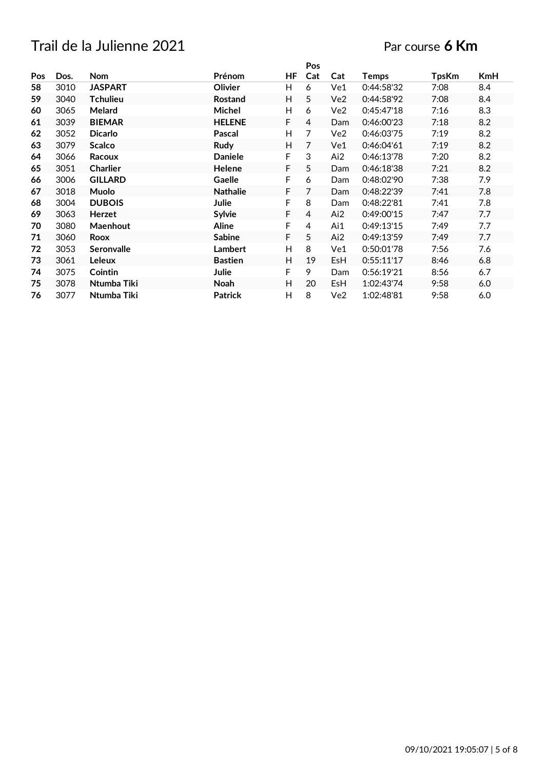#### Par course **6 Km**

|     |      |                   |                 |    | Pos |            |              |              |     |
|-----|------|-------------------|-----------------|----|-----|------------|--------------|--------------|-----|
| Pos | Dos. | <b>Nom</b>        | Prénom          | ΗF | Cat | Cat        | <b>Temps</b> | <b>TpsKm</b> | KmH |
| 58  | 3010 | <b>JASPART</b>    | Olivier         | H. | 6   | Ve1        | 0:44:58'32   | 7:08         | 8.4 |
| 59  | 3040 | <b>Tchulieu</b>   | <b>Rostand</b>  | H  | 5   | Ve2        | 0:44:58'92   | 7:08         | 8.4 |
| 60  | 3065 | Melard            | Michel          | H  | 6   | Ve2        | 0:45:47'18   | 7:16         | 8.3 |
| 61  | 3039 | <b>BIEMAR</b>     | <b>HELENE</b>   | F. | 4   | Dam        | 0:46:00'23   | 7:18         | 8.2 |
| 62  | 3052 | <b>Dicarlo</b>    | Pascal          | H  | 7   | Ve2        | 0:46:03'75   | 7:19         | 8.2 |
| 63  | 3079 | <b>Scalco</b>     | Rudy            | H. | 7   | Ve1        | 0:46:04'61   | 7:19         | 8.2 |
| 64  | 3066 | Racoux            | <b>Daniele</b>  | F  | 3   | Ai2        | 0:46:13'78   | 7:20         | 8.2 |
| 65  | 3051 | <b>Charlier</b>   | Helene          | F. | 5   | Dam        | 0:46:18'38   | 7:21         | 8.2 |
| 66  | 3006 | <b>GILLARD</b>    | Gaelle          | F  | 6   | Dam        | 0:48:02'90   | 7:38         | 7.9 |
| 67  | 3018 | Muolo             | <b>Nathalie</b> | F  | 7   | Dam        | 0:48:22'39   | 7:41         | 7.8 |
| 68  | 3004 | <b>DUBOIS</b>     | Julie           | F  | 8   | Dam        | 0:48:22'81   | 7:41         | 7.8 |
| 69  | 3063 | <b>Herzet</b>     | Sylvie          | F  | 4   | Ai2        | 0:49:00'15   | 7:47         | 7.7 |
| 70  | 3080 | Maenhout          | <b>Aline</b>    | F  | 4   | Ai1        | 0:49:13'15   | 7:49         | 7.7 |
| 71  | 3060 | Roox              | <b>Sabine</b>   | F. | 5   | Ai2        | 0:49:13'59   | 7:49         | 7.7 |
| 72  | 3053 | <b>Seronvalle</b> | <b>Lambert</b>  | H  | 8   | Ve1        | 0:50:01'78   | 7:56         | 7.6 |
| 73  | 3061 | <b>Leleux</b>     | <b>Bastien</b>  | H  | 19  | <b>EsH</b> | 0:55:11'17   | 8:46         | 6.8 |
| 74  | 3075 | Cointin           | Julie           | F  | 9   | <b>Dam</b> | 0:56:19'21   | 8:56         | 6.7 |
| 75  | 3078 | Ntumba Tiki       | Noah            | H  | 20  | EsH        | 1:02:43'74   | 9:58         | 6.0 |
| 76  | 3077 | Ntumba Tiki       | <b>Patrick</b>  | H  | 8   | Ve2        | 1:02:48'81   | 9:58         | 6.0 |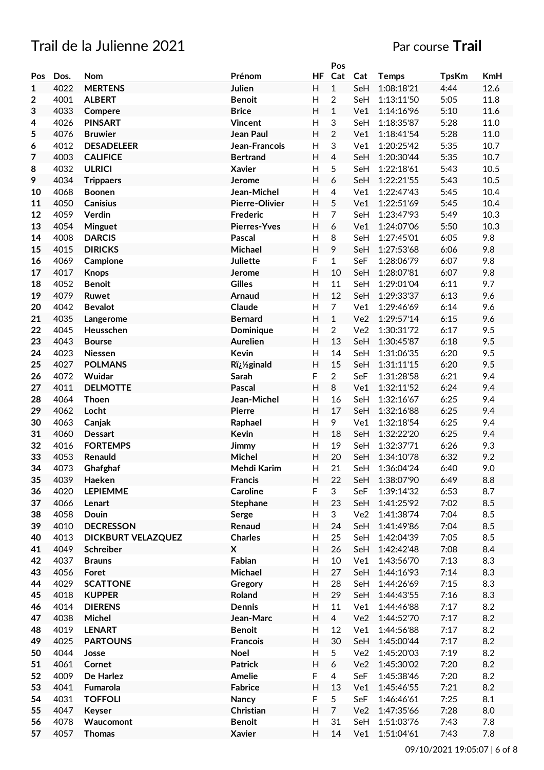#### Trail de la Julienne 2021 **Particular Englisher Course Trail**

|              |      |                           |                       |              | Pos            |                 |              |              |         |
|--------------|------|---------------------------|-----------------------|--------------|----------------|-----------------|--------------|--------------|---------|
| Pos          | Dos. | <b>Nom</b>                | Prénom                | HF           | Cat            | Cat             | <b>Temps</b> | <b>TpsKm</b> | KmH     |
| $\mathbf{1}$ | 4022 | <b>MERTENS</b>            | Julien                | H            | $\mathbf{1}$   | SeH             | 1:08:18'21   | 4:44         | 12.6    |
| 2            | 4001 | <b>ALBERT</b>             | <b>Benoit</b>         | H            | $\overline{2}$ | SeH             | 1:13:11'50   | 5:05         | 11.8    |
| 3            | 4033 | Compere                   | <b>Brice</b>          | H            | $\mathbf{1}$   | Ve1             | 1:14:16'96   | 5:10         | 11.6    |
| 4            | 4026 | <b>PINSART</b>            | <b>Vincent</b>        | Η            | 3              | SeH             | 1:18:35'87   | 5:28         | 11.0    |
| 5            | 4076 | <b>Bruwier</b>            | Jean Paul             | H            | $\overline{2}$ | Ve1             | 1:18:41'54   | 5:28         | 11.0    |
| 6            | 4012 | <b>DESADELEER</b>         | Jean-Francois         | H            | 3              | Ve1             | 1:20:25'42   | 5:35         | 10.7    |
| 7            | 4003 | <b>CALIFICE</b>           | <b>Bertrand</b>       | H            | 4              | SeH             | 1:20:30'44   | 5:35         | 10.7    |
| 8            | 4032 | <b>ULRICI</b>             | <b>Xavier</b>         | $\mathsf{H}$ | 5              | SeH             | 1:22:18'61   | 5:43         | 10.5    |
| 9            | 4034 | <b>Trippaers</b>          | Jerome                | H            | 6              | SeH             | 1:22:21'55   | 5:43         | 10.5    |
| 10           | 4068 | <b>Boonen</b>             | Jean-Michel           | H            | $\overline{4}$ | Ve1             | 1:22:47'43   | 5:45         | 10.4    |
| 11           | 4050 | <b>Canisius</b>           | <b>Pierre-Olivier</b> | H            | 5              | Ve1             | 1:22:51'69   | 5:45         | 10.4    |
| 12           | 4059 | Verdin                    | Frederic              | H            | $\overline{7}$ | SeH             | 1:23:47'93   | 5:49         | 10.3    |
| 13           | 4054 | Minguet                   | <b>Pierres-Yves</b>   | H            | 6              | Ve1             | 1:24:07'06   | 5:50         | 10.3    |
| 14           | 4008 | <b>DARCIS</b>             | Pascal                | H            | 8              | SeH             | 1:27:45'01   | 6:05         | 9.8     |
| 15           | 4015 | <b>DIRICKS</b>            | Michael               | H            | 9              | SeH             | 1:27:53'68   | 6:06         | 9.8     |
| 16           | 4069 | Campione                  | <b>Juliette</b>       | F            | $\mathbf{1}$   | SeF             | 1:28:06'79   | 6:07         | 9.8     |
| 17           | 4017 | <b>Knops</b>              | Jerome                | Н            | 10             | SeH             | 1:28:07'81   | 6:07         | 9.8     |
|              |      |                           | <b>Gilles</b>         |              | 11             |                 |              |              |         |
| 18           | 4052 | <b>Benoit</b>             |                       | $\mathsf{H}$ |                | SeH             | 1:29:01'04   | 6:11         | 9.7     |
| 19           | 4079 | Ruwet                     | Arnaud                | H            | 12             | SeH             | 1:29:33'37   | 6:13         | 9.6     |
| 20           | 4042 | <b>Bevalot</b>            | Claude                | H            | $\overline{7}$ | Ve1             | 1:29:46'69   | 6:14         | 9.6     |
| 21           | 4035 | Langerome                 | <b>Bernard</b>        | H            | $\mathbf{1}$   | Ve2             | 1:29:57'14   | 6:15         | 9.6     |
| 22           | 4045 | Heusschen                 | Dominique             | H            | $\overline{2}$ | Ve <sub>2</sub> | 1:30:31'72   | 6:17         | 9.5     |
| 23           | 4043 | <b>Bourse</b>             | <b>Aurelien</b>       | Η            | 13             | SeH             | 1:30:45'87   | 6:18         | 9.5     |
| 24           | 4023 | <b>Niessen</b>            | Kevin                 | H            | 14             | SeH             | 1:31:06'35   | 6:20         | 9.5     |
| 25           | 4027 | <b>POLMANS</b>            | R�ginald              | H            | 15             | SeH             | 1:31:11'15   | 6:20         | 9.5     |
| 26           | 4072 | Wuidar                    | Sarah                 | F            | $\overline{2}$ | SeF             | 1:31:28'58   | 6:21         | 9.4     |
| 27           | 4011 | <b>DELMOTTE</b>           | Pascal                | Н            | 8              | Ve1             | 1:32:11'52   | 6:24         | 9.4     |
| 28           | 4064 | Thoen                     | Jean-Michel           | $\mathsf{H}$ | 16             | SeH             | 1:32:16'67   | 6:25         | 9.4     |
| 29           | 4062 | Locht                     | <b>Pierre</b>         | H            | 17             | SeH             | 1:32:16'88   | 6:25         | 9.4     |
| 30           | 4063 | Canjak                    | Raphael               | H            | 9              | Ve1             | 1:32:18'54   | 6:25         | 9.4     |
| 31           | 4060 | <b>Dessart</b>            | Kevin                 | H            | 18             | SeH             | 1:32:22'20   | 6:25         | 9.4     |
| 32           | 4016 | <b>FORTEMPS</b>           | Jimmy                 | H            | 19             | SeH             | 1:32:37'71   | 6:26         | 9.3     |
| 33           | 4053 | Renauld                   | Michel                | H            | 20             | SeH             | 1:34:10'78   | 6:32         | 9.2     |
| 34           | 4073 | Ghafghaf                  | Mehdi Karim           | н            | 21             | SeH             | 1:36:04'24   | 6:40         | 9.0     |
| 35           | 4039 | Haeken                    | <b>Francis</b>        | H            | 22             | SeH             | 1:38:07'90   | 6:49         | 8.8     |
| 36           | 4020 | <b>LEPIEMME</b>           | <b>Caroline</b>       | F            | 3              | SeF             | 1:39:14'32   | 6:53         | 8.7     |
| 37           | 4066 | Lenart                    | Stephane              | H            | 23             | SeH             | 1:41:25'92   | 7:02         | 8.5     |
| 38           | 4058 | Douin                     | Serge                 | Н            | 3              | Ve <sub>2</sub> | 1:41:38'74   | 7:04         | 8.5     |
| 39           | 4010 | <b>DECRESSON</b>          | Renaud                | Н            | 24             | SeH             | 1:41:49'86   | 7:04         | 8.5     |
| 40           | 4013 | <b>DICKBURT VELAZQUEZ</b> | <b>Charles</b>        | H            | 25             | SeH             | 1:42:04'39   | 7:05         | 8.5     |
| 41           | 4049 | Schreiber                 | X                     | H            | 26             | SeH             | 1:42:42'48   | 7:08         | 8.4     |
| 42           | 4037 | <b>Brauns</b>             | Fabian                | Н            | 10             | Ve1             | 1:43:56'70   | 7:13         | 8.3     |
| 43           | 4056 | Foret                     | Michael               | H            | 27             | SeH             | 1:44:16'93   | 7:14         | 8.3     |
| 44           | 4029 | <b>SCATTONE</b>           | Gregory               | Н            | 28             | SeH             | 1:44:26'69   | 7:15         | 8.3     |
| 45           | 4018 | <b>KUPPER</b>             | Roland                | H            | 29             | SeH             | 1:44:43'55   | 7:16         | 8.3     |
| 46           | 4014 | <b>DIERENS</b>            | Dennis                | H            | 11             | Ve1             | 1:44:46'88   | 7:17         | 8.2     |
| 47           | 4038 | Michel                    | Jean-Marc             | H            | $\overline{4}$ | Ve <sub>2</sub> | 1:44:52'70   | 7:17         | 8.2     |
| 48           | 4019 | <b>LENART</b>             | <b>Benoit</b>         | Н            | 12             | Ve1             | 1:44:56'88   | 7:17         | 8.2     |
| 49           | 4025 | <b>PARTOUNS</b>           | <b>Francois</b>       | H            | 30             | SeH             | 1:45:00'44   | 7:17         | 8.2     |
| 50           | 4044 | Josse                     | <b>Noel</b>           | H            | 5              | Ve <sub>2</sub> | 1:45:20'03   | 7:19         | 8.2     |
| 51           | 4061 | Cornet                    | <b>Patrick</b>        | H            | 6              | Ve <sub>2</sub> | 1:45:30'02   | 7:20         | 8.2     |
| 52           | 4009 | De Harlez                 | Amelie                | F            | 4              | SeF             | 1:45:38'46   | 7:20         | 8.2     |
|              |      |                           |                       |              |                |                 |              |              |         |
| 53           | 4041 | Fumarola                  | <b>Fabrice</b>        | H            | 13<br>5        | Ve1             | 1:45:46'55   | 7:21         | 8.2     |
| 54           | 4031 | <b>TOFFOLI</b>            | Nancy                 | F            |                | SeF             | 1:46:46'61   | 7:25         | 8.1     |
| 55           | 4047 | Keyser                    | Christian             | H            | $\overline{7}$ | Ve <sub>2</sub> | 1:47:35'66   | 7:28         | $8.0\,$ |
| 56           | 4078 | Waucomont                 | <b>Benoit</b>         | Н            | 31             | SeH             | 1:51:03'76   | 7:43         | 7.8     |
| 57           | 4057 | <b>Thomas</b>             | <b>Xavier</b>         | H            | 14             | Ve1             | 1:51:04'61   | 7:43         | 7.8     |